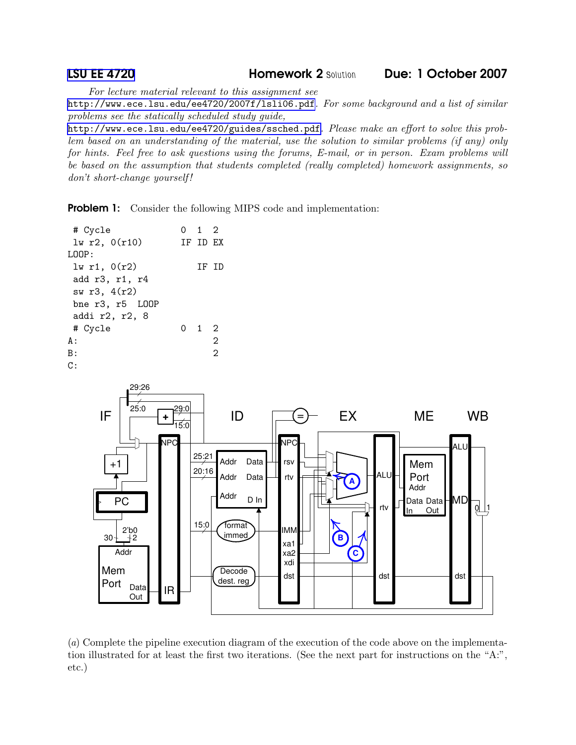LSU EE [4720](http://www.ece.lsu.edu/ee4720/) Homework 2 Solution Due: 1 October 2007

For lecture material relevant to this assignment see

<http://www.ece.lsu.edu/ee4720/2007f/lsli06.pdf>. For some background and a list of similar problems see the statically scheduled study guide,

<http://www.ece.lsu.edu/ee4720/guides/ssched.pdf>. Please make an effort to solve this problem based on an understanding of the material, use the solution to similar problems (if any) only for hints. Feel free to ask questions using the forums, E-mail, or in person. Exam problems will be based on the assumption that students completed (really completed) homework assignments, so don't short-change yourself!

**Problem 1:** Consider the following MIPS code and implementation:

| # Cycle                | $0 \quad 1 \quad 2$ |   |
|------------------------|---------------------|---|
| lw r2, 0(r10)          | TF TD EX            |   |
| T.OOP:                 |                     |   |
| $lw$ r1, $0(r2)$       | TF TD               |   |
| add r3, r1, r4         |                     |   |
| sw r3, 4(r2)           |                     |   |
| bne $r3$ , $r5$ $L00P$ |                     |   |
| addi r2, r2, 8         |                     |   |
| # Cycle                | 0 1 2               |   |
| A :                    |                     | 2 |
| B:                     |                     | 2 |
| C:                     |                     |   |



(a) Complete the pipeline execution diagram of the execution of the code above on the implementation illustrated for at least the first two iterations. (See the next part for instructions on the "A:", etc.)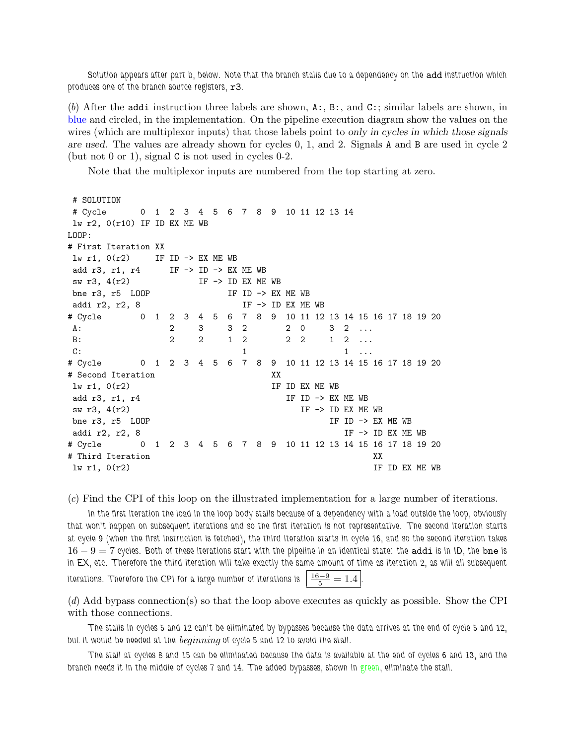Solution appears after part b, below. Note that the branch stalls due to a dependency on the add instruction which produces one of the branch source registers,  $r3$ .

(b) After the addi instruction three labels are shown, A:, B:, and C:; similar labels are shown, in blue and circled, in the implementation. On the pipeline execution diagram show the values on the wires (which are multiplex inputs) that those labels point to only in cycles in which those signals are used. The values are already shown for cycles 0, 1, and 2. Signals A and B are used in cycle 2 (but not 0 or 1), signal C is not used in cycles 0-2.

Note that the multiplexor inputs are numbered from the top starting at zero.

```
# SOLUTION
# Cycle 0 1 2 3 4 5 6 7 8 9 10 11 12 13 14
lw r2, 0(r10) IF ID EX ME WB
I.00P:# First Iteration XX
lw r1, 0(r2) IF ID -> EX ME WB
add r3, r1, r4 IF -> ID -> EX ME WB
sw r3, 4(r2) IF \rightarrow ID EX ME WB
bne r3, r5 LOOP IF ID -> EX ME WB
addi r2, r2, 8 IF -> ID EX ME WB
# Cycle 0 1 2 3 4 5 6 7 8 9 10 11 12 13 14 15 16 17 18 19 20
A: 2 3 3 2 2 0 3 2 ...
B: 2 2 2 1 2 2 2 1 2 ...
C: 1 \quad 1 \quad 1 \quad 1 \quad 1# Cycle 0 1 2 3 4 5 6 7 8 9 10 11 12 13 14 15 16 17 18 19 20
# Second Iteration XX
\ln r1, 0(r2) IF ID EX ME WB
add r3, r1, r4 IF ID -> EX ME WB
sw r3, 4(r2) IF \rightarrow ID EX ME WB
bne r3, r5 \text{LOOP} IF ID -> EX ME WB
addi r2, r2, 8 IF -> ID EX ME WB
# Cycle 0 1 2 3 4 5 6 7 8 9 10 11 12 13 14 15 16 17 18 19 20
# Third Iteration XX
\ln r1, 0(r2) IF ID EX ME WB
```
(c) Find the CPI of this loop on the illustrated implementation for a large number of iterations.

In the first iteration the load in the loop body stalls because of a dependency with a load outside the loop, obviously that won't happen on subsequent iterations and so the first iteration is not representative. The second iteration starts at cycle 9 (when the first instruction is fetched), the third iteration starts in cycle 16, and so the second iteration takes  $16 - 9 = 7$  cycles. Both of these iterations start with the pipeline in an identical state: the addi is in ID, the bne is in EX, etc. Therefore the third iteration will take exactly the same amount of time as iteration 2, as will all subsequent iterations. Therefore the CPI for a large number of iterations is  $\left\lfloor\frac{16-9}{5}\right\rfloor=1.4$  .

(d) Add bypass connection(s) so that the loop above executes as quickly as possible. Show the CPI with those connections.

The stalls in cycles 5 and 12 can't be eliminated by bypasses because the data arrives at the end of cycle 5 and 12, but it would be needed at the *beginning* of cycle 5 and 12 to avoid the stall.

The stall at cycles 8 and 15 can be eliminated because the data is available at the end of cycles 6 and 13, and the branch needs it in the middle of cycles 7 and 14. The added bypasses, shown in green, eliminate the stall.